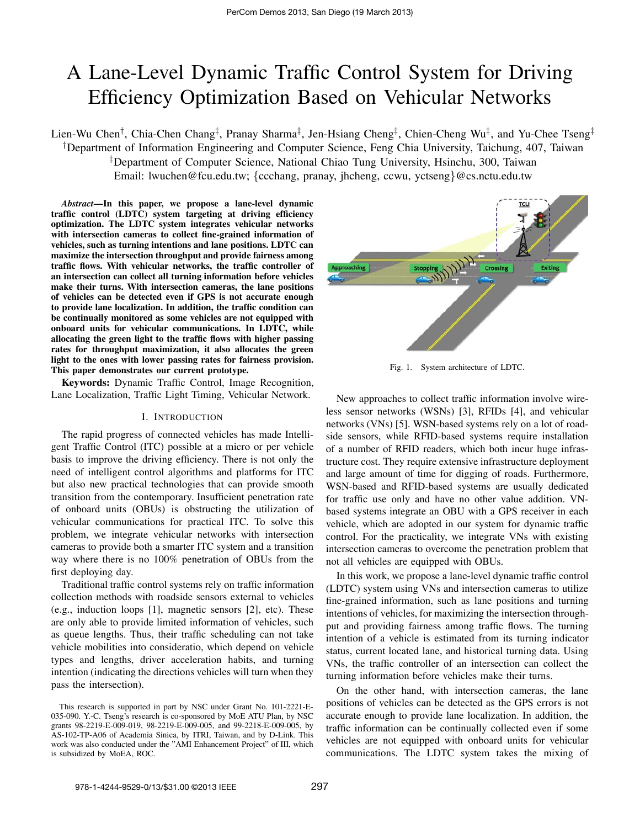# A Lane-Level Dynamic Traffic Control System for Driving Efficiency Optimization Based on Vehicular Networks

Lien-Wu Chen*†*, Chia-Chen Chang*‡*, Pranay Sharma*‡*, Jen-Hsiang Cheng*‡*, Chien-Cheng Wu*‡*, and Yu-Chee Tseng*‡ †*Department of Information Engineering and Computer Science, Feng Chia University, Taichung, 407, Taiwan *‡*Department of Computer Science, National Chiao Tung University, Hsinchu, 300, Taiwan Email: lwuchen@fcu.edu.tw; *{*ccchang, pranay, jhcheng, ccwu, yctseng*}*@cs.nctu.edu.tw

*Abstract***—In this paper, we propose a lane-level dynamic traffic control (LDTC) system targeting at driving efficiency optimization. The LDTC system integrates vehicular networks with intersection cameras to collect fine-grained information of vehicles, such as turning intentions and lane positions. LDTC can maximize the intersection throughput and provide fairness among traffic flows. With vehicular networks, the traffic controller of an intersection can collect all turning information before vehicles make their turns. With intersection cameras, the lane positions of vehicles can be detected even if GPS is not accurate enough to provide lane localization. In addition, the traffic condition can be continually monitored as some vehicles are not equipped with onboard units for vehicular communications. In LDTC, while allocating the green light to the traffic flows with higher passing rates for throughput maximization, it also allocates the green light to the ones with lower passing rates for fairness provision. This paper demonstrates our current prototype.**

**Keywords:** Dynamic Traffic Control, Image Recognition, Lane Localization, Traffic Light Timing, Vehicular Network.

## I. INTRODUCTION

The rapid progress of connected vehicles has made Intelligent Traffic Control (ITC) possible at a micro or per vehicle basis to improve the driving efficiency. There is not only the need of intelligent control algorithms and platforms for ITC but also new practical technologies that can provide smooth transition from the contemporary. Insufficient penetration rate of onboard units (OBUs) is obstructing the utilization of vehicular communications for practical ITC. To solve this problem, we integrate vehicular networks with intersection cameras to provide both a smarter ITC system and a transition way where there is no 100% penetration of OBUs from the first deploying day.

Traditional traffic control systems rely on traffic information collection methods with roadside sensors external to vehicles (e.g., induction loops [1], magnetic sensors [2], etc). These are only able to provide limited information of vehicles, such as queue lengths. Thus, their traffic scheduling can not take vehicle mobilities into consideratio, which depend on vehicle types and lengths, driver acceleration habits, and turning intention (indicating the directions vehicles will turn when they pass the intersection).



Fig. 1. System architecture of LDTC.

New approaches to collect traffic information involve wireless sensor networks (WSNs) [3], RFIDs [4], and vehicular networks (VNs) [5]. WSN-based systems rely on a lot of roadside sensors, while RFID-based systems require installation of a number of RFID readers, which both incur huge infrastructure cost. They require extensive infrastructure deployment and large amount of time for digging of roads. Furthermore, WSN-based and RFID-based systems are usually dedicated for traffic use only and have no other value addition. VNbased systems integrate an OBU with a GPS receiver in each vehicle, which are adopted in our system for dynamic traffic control. For the practicality, we integrate VNs with existing intersection cameras to overcome the penetration problem that not all vehicles are equipped with OBUs.

In this work, we propose a lane-level dynamic traffic control (LDTC) system using VNs and intersection cameras to utilize fine-grained information, such as lane positions and turning intentions of vehicles, for maximizing the intersection throughput and providing fairness among traffic flows. The turning intention of a vehicle is estimated from its turning indicator status, current located lane, and historical turning data. Using VNs, the traffic controller of an intersection can collect the turning information before vehicles make their turns.

On the other hand, with intersection cameras, the lane positions of vehicles can be detected as the GPS errors is not accurate enough to provide lane localization. In addition, the traffic information can be continually collected even if some vehicles are not equipped with onboard units for vehicular communications. The LDTC system takes the mixing of

This research is supported in part by NSC under Grant No. 101-2221-E-035-090. Y.-C. Tseng's research is co-sponsored by MoE ATU Plan, by NSC grants 98-2219-E-009-019, 98-2219-E-009-005, and 99-2218-E-009-005, by AS-102-TP-A06 of Academia Sinica, by ITRI, Taiwan, and by D-Link. This work was also conducted under the "AMI Enhancement Project" of III, which is subsidized by MoEA, ROC.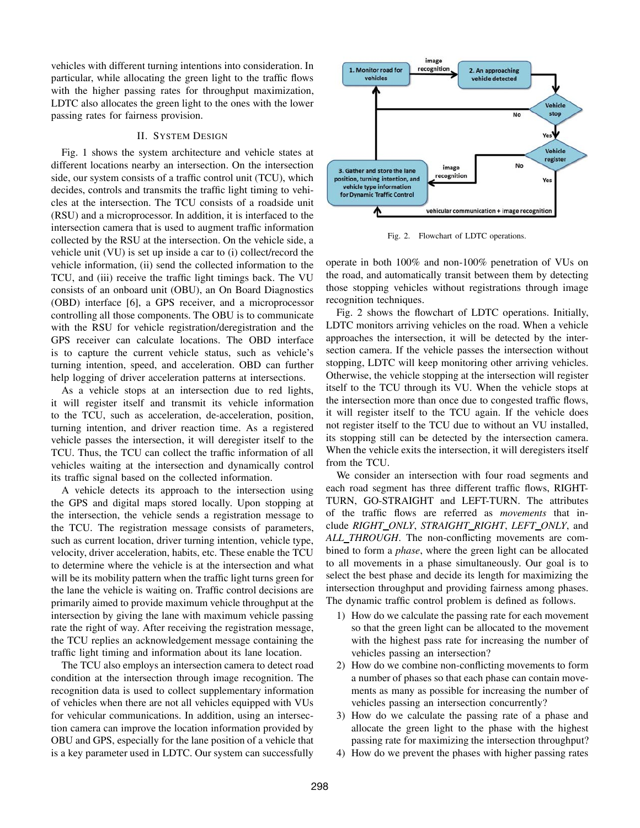vehicles with different turning intentions into consideration. In particular, while allocating the green light to the traffic flows with the higher passing rates for throughput maximization, LDTC also allocates the green light to the ones with the lower passing rates for fairness provision.

## II. SYSTEM DESIGN

Fig. 1 shows the system architecture and vehicle states at different locations nearby an intersection. On the intersection side, our system consists of a traffic control unit (TCU), which decides, controls and transmits the traffic light timing to vehicles at the intersection. The TCU consists of a roadside unit (RSU) and a microprocessor. In addition, it is interfaced to the intersection camera that is used to augment traffic information collected by the RSU at the intersection. On the vehicle side, a vehicle unit (VU) is set up inside a car to (i) collect/record the vehicle information, (ii) send the collected information to the TCU, and (iii) receive the traffic light timings back. The VU consists of an onboard unit (OBU), an On Board Diagnostics (OBD) interface [6], a GPS receiver, and a microprocessor controlling all those components. The OBU is to communicate with the RSU for vehicle registration/deregistration and the GPS receiver can calculate locations. The OBD interface is to capture the current vehicle status, such as vehicle's turning intention, speed, and acceleration. OBD can further help logging of driver acceleration patterns at intersections.

As a vehicle stops at an intersection due to red lights, it will register itself and transmit its vehicle information to the TCU, such as acceleration, de-acceleration, position, turning intention, and driver reaction time. As a registered vehicle passes the intersection, it will deregister itself to the TCU. Thus, the TCU can collect the traffic information of all vehicles waiting at the intersection and dynamically control its traffic signal based on the collected information.

A vehicle detects its approach to the intersection using the GPS and digital maps stored locally. Upon stopping at the intersection, the vehicle sends a registration message to the TCU. The registration message consists of parameters, such as current location, driver turning intention, vehicle type, velocity, driver acceleration, habits, etc. These enable the TCU to determine where the vehicle is at the intersection and what will be its mobility pattern when the traffic light turns green for the lane the vehicle is waiting on. Traffic control decisions are primarily aimed to provide maximum vehicle throughput at the intersection by giving the lane with maximum vehicle passing rate the right of way. After receiving the registration message, the TCU replies an acknowledgement message containing the traffic light timing and information about its lane location.

The TCU also employs an intersection camera to detect road condition at the intersection through image recognition. The recognition data is used to collect supplementary information of vehicles when there are not all vehicles equipped with VUs for vehicular communications. In addition, using an intersection camera can improve the location information provided by OBU and GPS, especially for the lane position of a vehicle that is a key parameter used in LDTC. Our system can successfully



Fig. 2. Flowchart of LDTC operations.

operate in both 100% and non-100% penetration of VUs on the road, and automatically transit between them by detecting those stopping vehicles without registrations through image recognition techniques.

Fig. 2 shows the flowchart of LDTC operations. Initially, LDTC monitors arriving vehicles on the road. When a vehicle approaches the intersection, it will be detected by the intersection camera. If the vehicle passes the intersection without stopping, LDTC will keep monitoring other arriving vehicles. Otherwise, the vehicle stopping at the intersection will register itself to the TCU through its VU. When the vehicle stops at the intersection more than once due to congested traffic flows, it will register itself to the TCU again. If the vehicle does not register itself to the TCU due to without an VU installed, its stopping still can be detected by the intersection camera. When the vehicle exits the intersection, it will deregisters itself from the TCU.

We consider an intersection with four road segments and each road segment has three different traffic flows, RIGHT-TURN, GO-STRAIGHT and LEFT-TURN. The attributes of the traffic flows are referred as *movements* that include *RIGHT ONLY*, *STRAIGHT RIGHT*, *LEFT ONLY*, and *ALL THROUGH*. The non-conflicting movements are combined to form a *phase*, where the green light can be allocated to all movements in a phase simultaneously. Our goal is to select the best phase and decide its length for maximizing the intersection throughput and providing fairness among phases. The dynamic traffic control problem is defined as follows.

- 1) How do we calculate the passing rate for each movement so that the green light can be allocated to the movement with the highest pass rate for increasing the number of vehicles passing an intersection?
- 2) How do we combine non-conflicting movements to form a number of phases so that each phase can contain movements as many as possible for increasing the number of vehicles passing an intersection concurrently?
- 3) How do we calculate the passing rate of a phase and allocate the green light to the phase with the highest passing rate for maximizing the intersection throughput?
- 4) How do we prevent the phases with higher passing rates